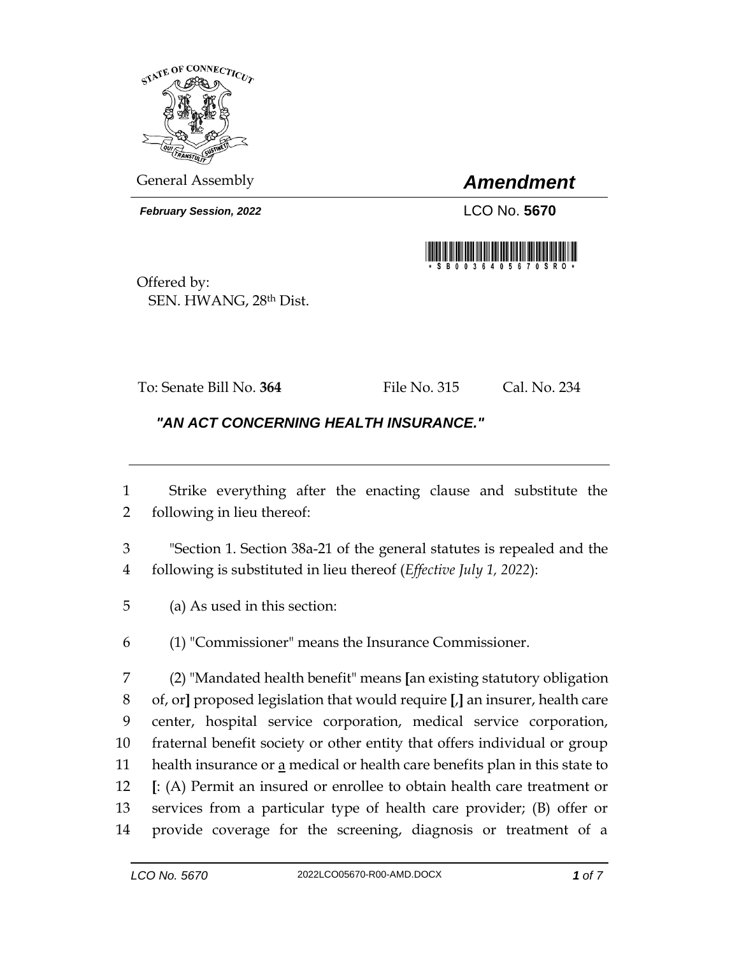

General Assembly *Amendment*

*February Session, 2022* LCO No. **5670**



Offered by: SEN. HWANG, 28th Dist.

To: Senate Bill No. **364** File No. 315 Cal. No. 234

## *"AN ACT CONCERNING HEALTH INSURANCE."*

 Strike everything after the enacting clause and substitute the following in lieu thereof:

 "Section 1. Section 38a-21 of the general statutes is repealed and the following is substituted in lieu thereof (*Effective July 1, 2022*):

(a) As used in this section:

(1) "Commissioner" means the Insurance Commissioner.

 (2) "Mandated health benefit" means **[**an existing statutory obligation of, or**]** proposed legislation that would require **[**,**]** an insurer, health care center, hospital service corporation, medical service corporation, fraternal benefit society or other entity that offers individual or group 11 health insurance or  $\underline{a}$  medical or health care benefits plan in this state to **[**: (A) Permit an insured or enrollee to obtain health care treatment or services from a particular type of health care provider; (B) offer or provide coverage for the screening, diagnosis or treatment of a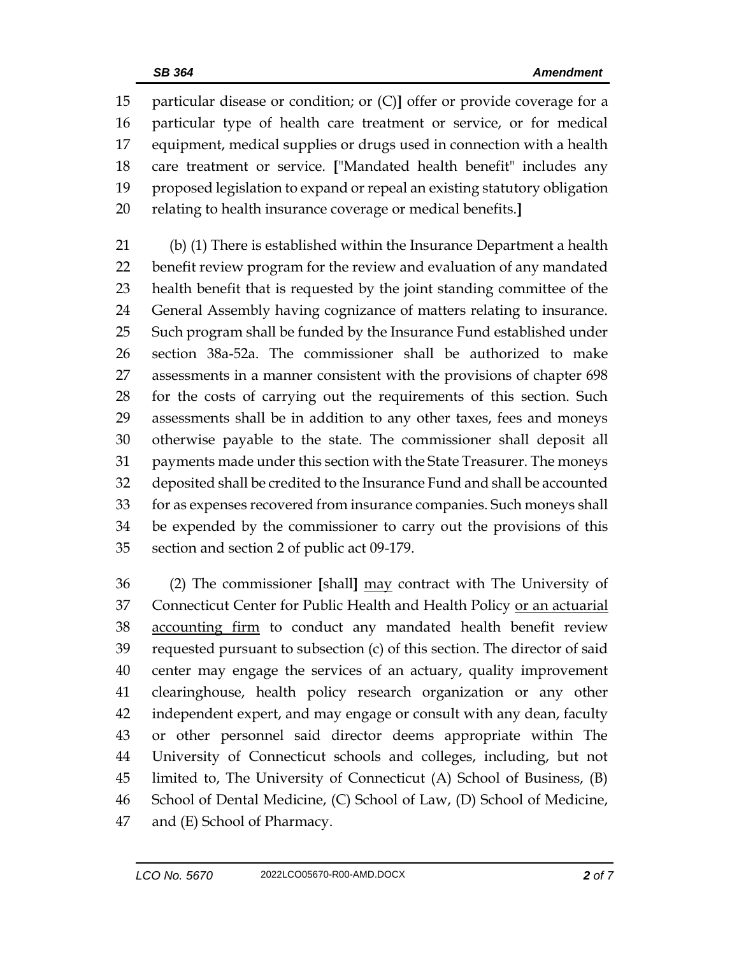particular disease or condition; or (C)**]** offer or provide coverage for a particular type of health care treatment or service, or for medical equipment, medical supplies or drugs used in connection with a health care treatment or service. **[**"Mandated health benefit" includes any proposed legislation to expand or repeal an existing statutory obligation relating to health insurance coverage or medical benefits.**]**

 (b) (1) There is established within the Insurance Department a health benefit review program for the review and evaluation of any mandated health benefit that is requested by the joint standing committee of the General Assembly having cognizance of matters relating to insurance. Such program shall be funded by the Insurance Fund established under section 38a-52a. The commissioner shall be authorized to make assessments in a manner consistent with the provisions of chapter 698 for the costs of carrying out the requirements of this section. Such assessments shall be in addition to any other taxes, fees and moneys otherwise payable to the state. The commissioner shall deposit all payments made under this section with the State Treasurer. The moneys deposited shall be credited to the Insurance Fund and shall be accounted for as expenses recovered from insurance companies. Such moneys shall be expended by the commissioner to carry out the provisions of this section and section 2 of public act 09-179.

 (2) The commissioner **[**shall**]** may contract with The University of Connecticut Center for Public Health and Health Policy or an actuarial 38 accounting firm to conduct any mandated health benefit review requested pursuant to subsection (c) of this section. The director of said center may engage the services of an actuary, quality improvement clearinghouse, health policy research organization or any other independent expert, and may engage or consult with any dean, faculty or other personnel said director deems appropriate within The University of Connecticut schools and colleges, including, but not limited to, The University of Connecticut (A) School of Business, (B) School of Dental Medicine, (C) School of Law, (D) School of Medicine, and (E) School of Pharmacy.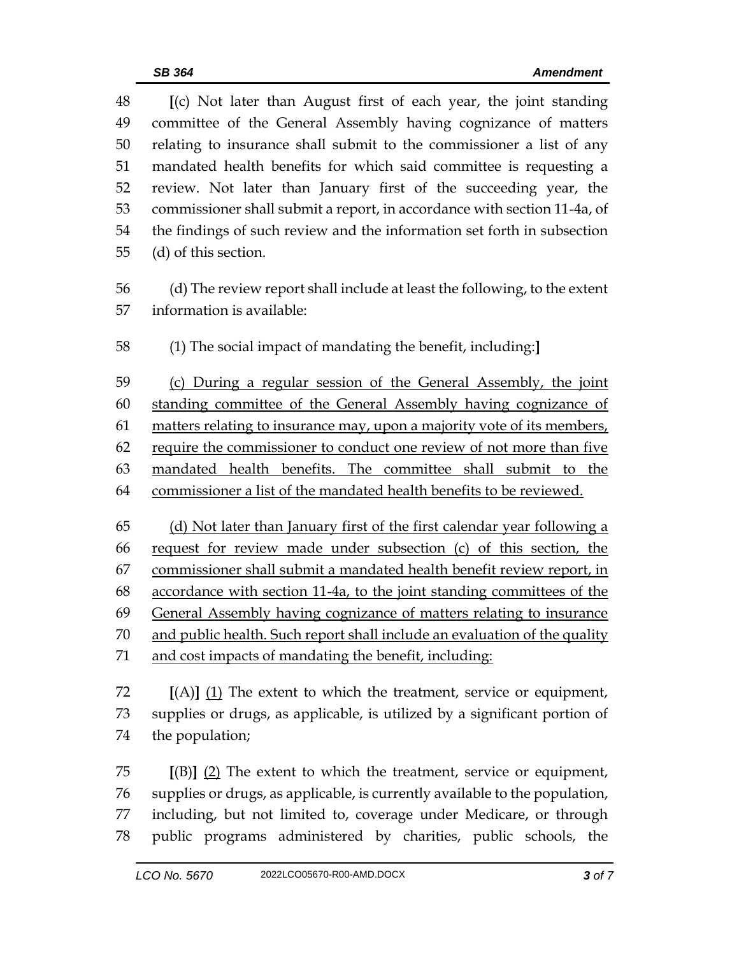**[**(c) Not later than August first of each year, the joint standing committee of the General Assembly having cognizance of matters relating to insurance shall submit to the commissioner a list of any mandated health benefits for which said committee is requesting a review. Not later than January first of the succeeding year, the commissioner shall submit a report, in accordance with section 11-4a, of the findings of such review and the information set forth in subsection (d) of this section. (d) The review report shall include at least the following, to the extent information is available: (1) The social impact of mandating the benefit, including:**]** (c) During a regular session of the General Assembly, the joint standing committee of the General Assembly having cognizance of 61 matters relating to insurance may, upon a majority vote of its members, require the commissioner to conduct one review of not more than five mandated health benefits. The committee shall submit to the commissioner a list of the mandated health benefits to be reviewed. (d) Not later than January first of the first calendar year following a request for review made under subsection (c) of this section, the commissioner shall submit a mandated health benefit review report, in accordance with section 11-4a, to the joint standing committees of the General Assembly having cognizance of matters relating to insurance 70 and public health. Such report shall include an evaluation of the quality and cost impacts of mandating the benefit, including: **[**(A)**]** (1) The extent to which the treatment, service or equipment, supplies or drugs, as applicable, is utilized by a significant portion of the population; **[**(B)**]** (2) The extent to which the treatment, service or equipment, supplies or drugs, as applicable, is currently available to the population,

 including, but not limited to, coverage under Medicare, or through public programs administered by charities, public schools, the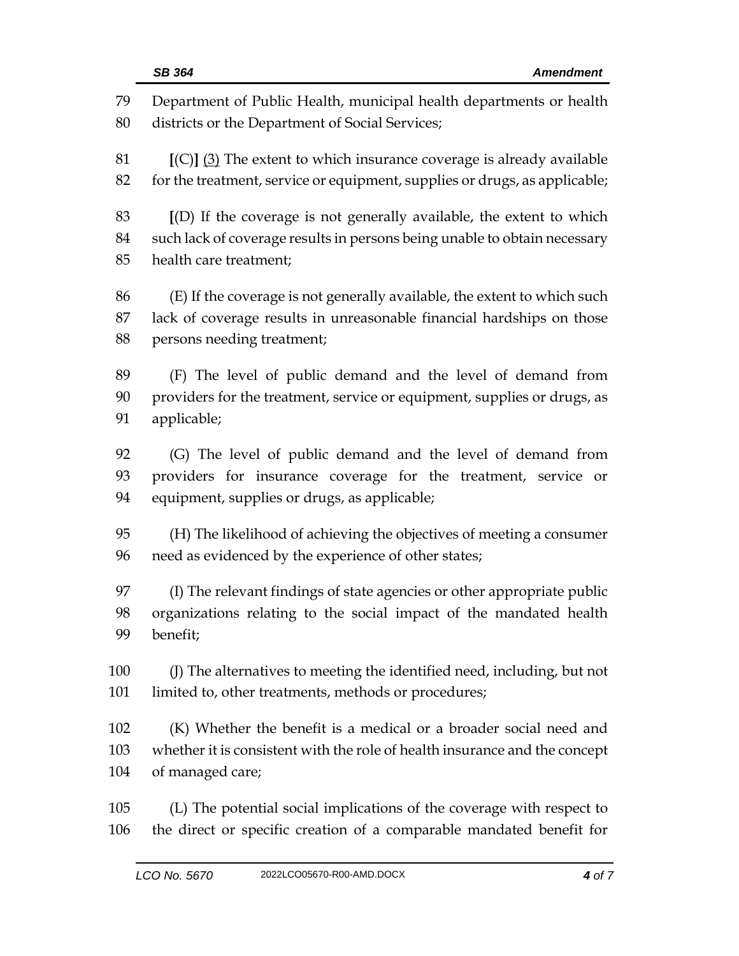| 79  | Department of Public Health, municipal health departments or health        |
|-----|----------------------------------------------------------------------------|
| 80  | districts or the Department of Social Services;                            |
| 81  | $[(C)]$ (3) The extent to which insurance coverage is already available    |
| 82  | for the treatment, service or equipment, supplies or drugs, as applicable; |
| 83  | [(D) If the coverage is not generally available, the extent to which       |
| 84  | such lack of coverage results in persons being unable to obtain necessary  |
| 85  | health care treatment;                                                     |
| 86  | (E) If the coverage is not generally available, the extent to which such   |
| 87  | lack of coverage results in unreasonable financial hardships on those      |
| 88  | persons needing treatment;                                                 |
| 89  | (F) The level of public demand and the level of demand from                |
| 90  | providers for the treatment, service or equipment, supplies or drugs, as   |
| 91  | applicable;                                                                |
| 92  | (G) The level of public demand and the level of demand from                |
| 93  | providers for insurance coverage for the treatment, service or             |
| 94  | equipment, supplies or drugs, as applicable;                               |
| 95  | (H) The likelihood of achieving the objectives of meeting a consumer       |
| 96  | need as evidenced by the experience of other states;                       |
| 97  | (I) The relevant findings of state agencies or other appropriate public    |
| 98  | organizations relating to the social impact of the mandated health         |
| 99  | benefit;                                                                   |
| 100 | (J) The alternatives to meeting the identified need, including, but not    |
| 101 | limited to, other treatments, methods or procedures;                       |
| 102 | (K) Whether the benefit is a medical or a broader social need and          |
| 103 | whether it is consistent with the role of health insurance and the concept |
| 104 | of managed care;                                                           |
| 105 | (L) The potential social implications of the coverage with respect to      |
| 106 | the direct or specific creation of a comparable mandated benefit for       |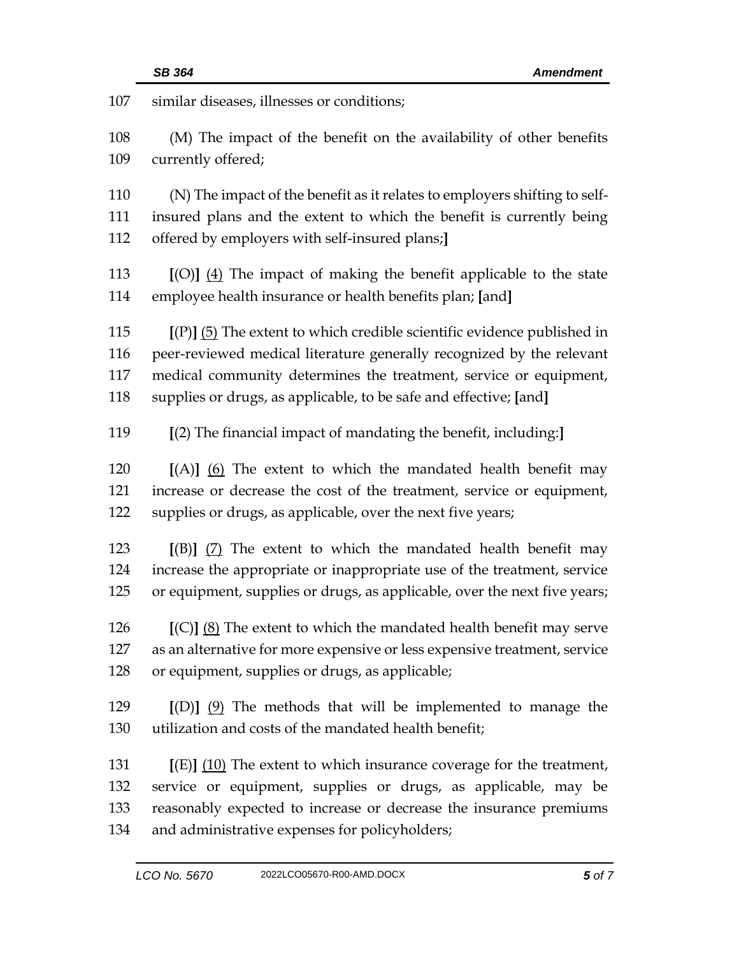| 107 | similar diseases, illnesses or conditions;                                                                                                         |  |
|-----|----------------------------------------------------------------------------------------------------------------------------------------------------|--|
| 108 | (M) The impact of the benefit on the availability of other benefits                                                                                |  |
| 109 | currently offered;                                                                                                                                 |  |
| 110 |                                                                                                                                                    |  |
| 111 | (N) The impact of the benefit as it relates to employers shifting to self-<br>insured plans and the extent to which the benefit is currently being |  |
| 112 | offered by employers with self-insured plans;]                                                                                                     |  |
| 113 | $[O]$ $(4)$ The impact of making the benefit applicable to the state                                                                               |  |
| 114 | employee health insurance or health benefits plan; [and]                                                                                           |  |
| 115 | $[(P)]$ (5) The extent to which credible scientific evidence published in                                                                          |  |
| 116 | peer-reviewed medical literature generally recognized by the relevant                                                                              |  |
| 117 | medical community determines the treatment, service or equipment,                                                                                  |  |
| 118 | supplies or drugs, as applicable, to be safe and effective; [and]                                                                                  |  |
| 119 | [(2) The financial impact of mandating the benefit, including:]                                                                                    |  |
| 120 | $[(A)]$ (6) The extent to which the mandated health benefit may                                                                                    |  |
| 121 | increase or decrease the cost of the treatment, service or equipment,                                                                              |  |
| 122 | supplies or drugs, as applicable, over the next five years;                                                                                        |  |
| 123 | $[(B)]$ (7) The extent to which the mandated health benefit may                                                                                    |  |
| 124 | increase the appropriate or inappropriate use of the treatment, service                                                                            |  |
| 125 | or equipment, supplies or drugs, as applicable, over the next five years;                                                                          |  |
| 126 | $[(C)]$ $(8)$ The extent to which the mandated health benefit may serve                                                                            |  |
| 127 | as an alternative for more expensive or less expensive treatment, service                                                                          |  |
| 128 | or equipment, supplies or drugs, as applicable;                                                                                                    |  |
| 129 | $[(D)]$ $(9)$ The methods that will be implemented to manage the                                                                                   |  |
| 130 | utilization and costs of the mandated health benefit;                                                                                              |  |
| 131 | $[(E)]$ (10) The extent to which insurance coverage for the treatment,                                                                             |  |
| 132 | service or equipment, supplies or drugs, as applicable, may be                                                                                     |  |
| 133 | reasonably expected to increase or decrease the insurance premiums                                                                                 |  |
| 134 | and administrative expenses for policyholders;                                                                                                     |  |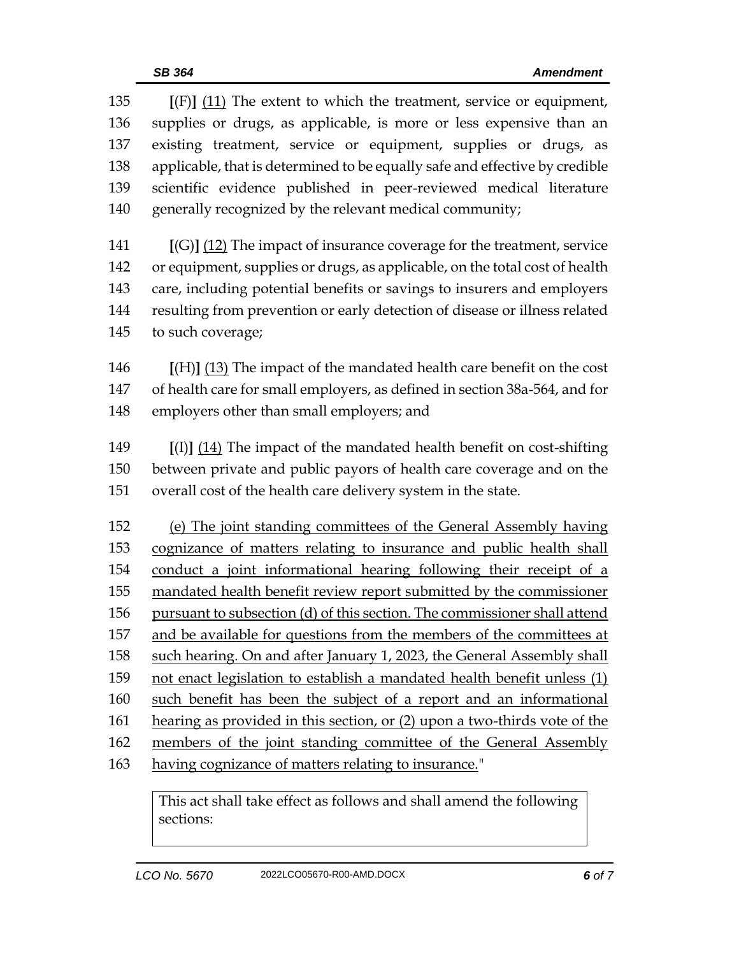**[**(F)**]** (11) The extent to which the treatment, service or equipment, supplies or drugs, as applicable, is more or less expensive than an existing treatment, service or equipment, supplies or drugs, as applicable, that is determined to be equally safe and effective by credible scientific evidence published in peer-reviewed medical literature generally recognized by the relevant medical community;

 **[**(G)**]** (12) The impact of insurance coverage for the treatment, service or equipment, supplies or drugs, as applicable, on the total cost of health care, including potential benefits or savings to insurers and employers resulting from prevention or early detection of disease or illness related to such coverage;

 **[**(H)**]** (13) The impact of the mandated health care benefit on the cost of health care for small employers, as defined in section 38a-564, and for employers other than small employers; and

 **[**(I)**]** (14) The impact of the mandated health benefit on cost-shifting between private and public payors of health care coverage and on the overall cost of the health care delivery system in the state.

 (e) The joint standing committees of the General Assembly having cognizance of matters relating to insurance and public health shall conduct a joint informational hearing following their receipt of a mandated health benefit review report submitted by the commissioner pursuant to subsection (d) of this section. The commissioner shall attend and be available for questions from the members of the committees at such hearing. On and after January 1, 2023, the General Assembly shall 159 not enact legislation to establish a mandated health benefit unless (1) such benefit has been the subject of a report and an informational hearing as provided in this section, or (2) upon a two-thirds vote of the 162 members of the joint standing committee of the General Assembly having cognizance of matters relating to insurance."

This act shall take effect as follows and shall amend the following sections: